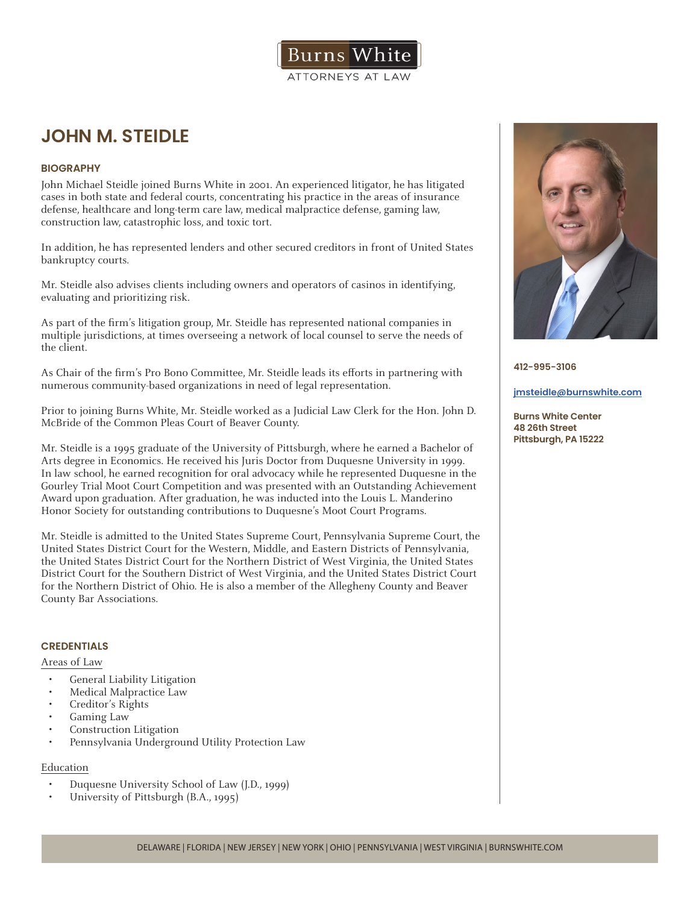

# **JOHN M. STEIDLE**

# **BIOGRAPHY**

John Michael Steidle joined Burns White in 2001. An experienced litigator, he has litigated cases in both state and federal courts, concentrating his practice in the areas of insurance defense, healthcare and long-term care law, medical malpractice defense, gaming law, construction law, catastrophic loss, and toxic tort.

In addition, he has represented lenders and other secured creditors in front of United States bankruptcy courts.

Mr. Steidle also advises clients including owners and operators of casinos in identifying, evaluating and prioritizing risk.

As part of the firm's litigation group, Mr. Steidle has represented national companies in multiple jurisdictions, at times overseeing a network of local counsel to serve the needs of the client.

As Chair of the firm's Pro Bono Committee, Mr. Steidle leads its efforts in partnering with numerous community-based organizations in need of legal representation.

Prior to joining Burns White, Mr. Steidle worked as a Judicial Law Clerk for the Hon. John D. McBride of the Common Pleas Court of Beaver County.

Mr. Steidle is a 1995 graduate of the University of Pittsburgh, where he earned a Bachelor of Arts degree in Economics. He received his Juris Doctor from Duquesne University in 1999. In law school, he earned recognition for oral advocacy while he represented Duquesne in the Gourley Trial Moot Court Competition and was presented with an Outstanding Achievement Award upon graduation. After graduation, he was inducted into the Louis L. Manderino Honor Society for outstanding contributions to Duquesne's Moot Court Programs.

Mr. Steidle is admitted to the United States Supreme Court, Pennsylvania Supreme Court, the United States District Court for the Western, Middle, and Eastern Districts of Pennsylvania, the United States District Court for the Northern District of West Virginia, the United States District Court for the Southern District of West Virginia, and the United States District Court for the Northern District of Ohio. He is also a member of the Allegheny County and Beaver County Bar Associations.

## **CREDENTIALS**

Areas of Law

- General Liability Litigation
- Medical Malpractice Law
- Creditor's Rights
- Gaming Law
- Construction Litigation
- Pennsylvania Underground Utility Protection Law

## Education

- Duquesne University School of Law (J.D., 1999)
- University of Pittsburgh (B.A., 1995)



**412-995-3106**

#### **jmsteidle@burnswhite.com**

**Burns White Center 48 26th Street Pittsburgh, PA 15222**